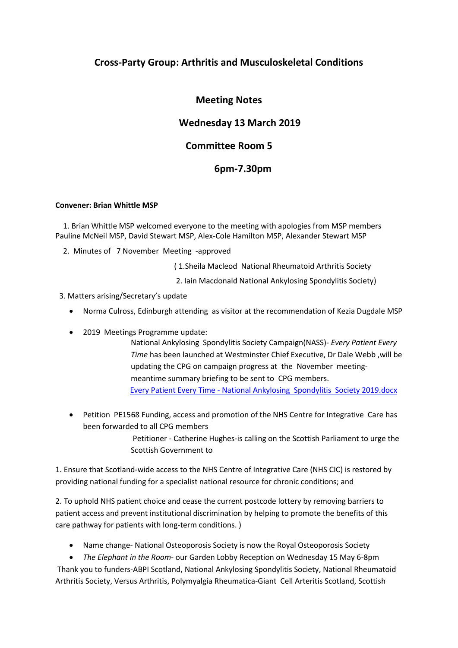# **Cross-Party Group: Arthritis and Musculoskeletal Conditions**

# **Meeting Notes**

# **Wednesday 13 March 2019**

## **Committee Room 5**

## **6pm-7.30pm**

### **Convener: Brian Whittle MSP**

 1. Brian Whittle MSP welcomed everyone to the meeting with apologies from MSP members Pauline McNeil MSP, David Stewart MSP, Alex-Cole Hamilton MSP, Alexander Stewart MSP

2. Minutes of 7 November Meeting -approved

( 1.Sheila Macleod National Rheumatoid Arthritis Society

- 2. Iain Macdonald National Ankylosing Spondylitis Society)
- 3. Matters arising/Secretary's update
	- Norma Culross, Edinburgh attending as visitor at the recommendation of Kezia Dugdale MSP
	- 2019 Meetings Programme update:

National Ankylosing Spondylitis Society Campaign(NASS)- *Every Patient Every Time* has been launched at Westminster Chief Executive, Dr Dale Webb ,will be updating the CPG on campaign progress at the November meetingmeantime summary briefing to be sent to CPG members. Every Patient Every Time - [National Ankylosing Spondylitis Society 2019.docx](file:///C:/Users/user/Desktop/Every%20Patient%20Every%20Time%20-%20National%20Ankylosing%20%20Spondylitis%20%20Society%202019.docx)

• Petition PE1568 Funding, access and promotion of the NHS Centre for Integrative Care has been forwarded to all CPG members

> Petitioner - Catherine Hughes-is calling on the Scottish Parliament to urge the Scottish Government to

1. Ensure that Scotland-wide access to the NHS Centre of Integrative Care (NHS CIC) is restored by providing national funding for a specialist national resource for chronic conditions; and

2. To uphold NHS patient choice and cease the current postcode lottery by removing barriers to patient access and prevent institutional discrimination by helping to promote the benefits of this care pathway for patients with long-term conditions. )

• Name change- National Osteoporosis Society is now the Royal Osteoporosis Society

• *The Elephant in the Room*- our Garden Lobby Reception on Wednesday 15 May 6-8pm Thank you to funders-ABPI Scotland, National Ankylosing Spondylitis Society, National Rheumatoid Arthritis Society, Versus Arthritis, Polymyalgia Rheumatica-Giant Cell Arteritis Scotland, Scottish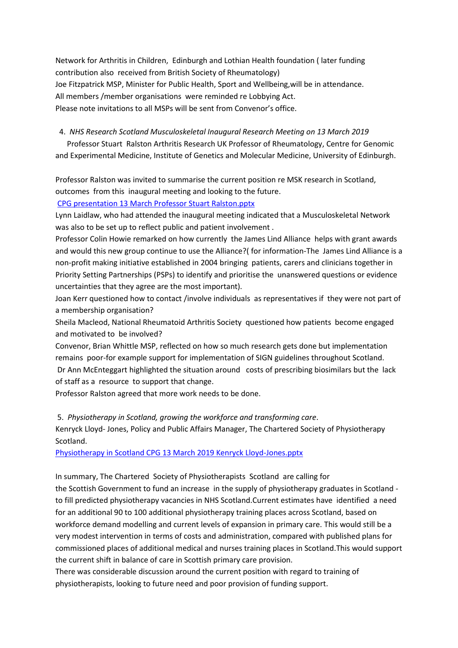Network for Arthritis in Children, Edinburgh and Lothian Health foundation ( later funding contribution also received from British Society of Rheumatology) Joe Fitzpatrick MSP, Minister for Public Health, Sport and Wellbeing,will be in attendance. All members /member organisations were reminded re Lobbying Act. Please note invitations to all MSPs will be sent from Convenor's office.

#### 4. *NHS Research Scotland Musculoskeletal Inaugural Research Meeting on 13 March 2019*

 Professor Stuart Ralston Arthritis Research UK Professor of Rheumatology, Centre for Genomic and Experimental Medicine, Institute of Genetics and Molecular Medicine, University of Edinburgh.

Professor Ralston was invited to summarise the current position re MSK research in Scotland, outcomes from this inaugural meeting and looking to the future.

[CPG presentation 13 March Professor Stuart Ralston.pptx](file:///C:/Users/user/Desktop/CPG%20presentation%2013%20March%20Professor%20Stuart%20Ralston.pptx)

Lynn Laidlaw, who had attended the inaugural meeting indicated that a Musculoskeletal Network was also to be set up to reflect public and patient involvement .

Professor Colin Howie remarked on how currently the James Lind Alliance helps with grant awards and would this new group continue to use the Alliance?( for information-The James Lind Alliance is a non-profit making initiative established in 2004 bringing patients, carers and clinicians together in Priority Setting Partnerships (PSPs) to identify and prioritise the unanswered questions or evidence uncertainties that they agree are the most important).

Joan Kerr questioned how to contact /involve individuals as representatives if they were not part of a membership organisation?

Sheila Macleod, National Rheumatoid Arthritis Society questioned how patients become engaged and motivated to be involved?

Convenor, Brian Whittle MSP, reflected on how so much research gets done but implementation remains poor-for example support for implementation of SIGN guidelines throughout Scotland.

Dr Ann McEnteggart highlighted the situation around costs of prescribing biosimilars but the lack of staff as a resource to support that change.

Professor Ralston agreed that more work needs to be done.

### 5. *Physiotherapy in Scotland, growing the workforce and transforming care*.

Kenryck Lloyd- Jones, Policy and Public Affairs Manager, The Chartered Society of Physiotherapy Scotland.

[Physiotherapy in Scotland CPG 13 March 2019 Kenryck Lloyd-Jones.pptx](file:///C:/Users/user/Desktop/Physiotherapy%20in%20Scotland%20CPG%2013%20March%202019%20Kenryck%20Lloyd-Jones.pptx)

In summary, The Chartered Society of Physiotherapists Scotland are calling for

the Scottish Government to fund an increase in the supply of physiotherapy graduates in Scotland to fill predicted physiotherapy vacancies in NHS Scotland.Current estimates have identified a need for an additional 90 to 100 additional physiotherapy training places across Scotland, based on workforce demand modelling and current levels of expansion in primary care. This would still be a very modest intervention in terms of costs and administration, compared with published plans for commissioned places of additional medical and nurses training places in Scotland.This would support the current shift in balance of care in Scottish primary care provision.

There was considerable discussion around the current position with regard to training of physiotherapists, looking to future need and poor provision of funding support.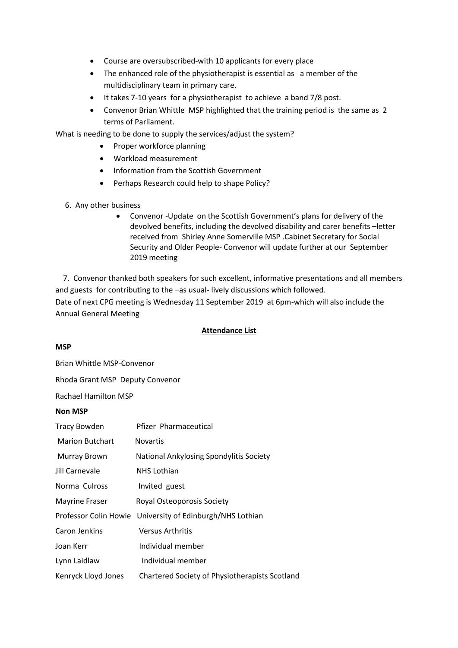- Course are oversubscribed-with 10 applicants for every place
- The enhanced role of the physiotherapist is essential as a member of the multidisciplinary team in primary care.
- It takes 7-10 years for a physiotherapist to achieve a band 7/8 post.
- Convenor Brian Whittle MSP highlighted that the training period is the same as 2 terms of Parliament.

What is needing to be done to supply the services/adjust the system?

- Proper workforce planning
- Workload measurement
- Information from the Scottish Government
- Perhaps Research could help to shape Policy?
- 6. Any other business
	- Convenor -Update on the Scottish Government's plans for delivery of the devolved benefits, including the devolved disability and carer benefits –letter received from Shirley Anne Somerville MSP .Cabinet Secretary for Social Security and Older People- Convenor will update further at our September 2019 meeting

 7. Convenor thanked both speakers for such excellent, informative presentations and all members and guests for contributing to the –as usual- lively discussions which followed. Date of next CPG meeting is Wednesday 11 September 2019 at 6pm-which will also include the Annual General Meeting

#### **Attendance List**

#### **MSP**

Brian Whittle MSP-Convenor

Rhoda Grant MSP Deputy Convenor

Rachael Hamilton MSP

#### **Non MSP**

| <b>Tracy Bowden</b>    | Pfizer Pharmaceutical                                     |
|------------------------|-----------------------------------------------------------|
| <b>Marion Butchart</b> | <b>Novartis</b>                                           |
| <b>Murray Brown</b>    | National Ankylosing Spondylitis Society                   |
| Jill Carnevale         | <b>NHS Lothian</b>                                        |
| Norma Culross          | Invited guest                                             |
| <b>Mayrine Fraser</b>  | Royal Osteoporosis Society                                |
|                        | Professor Colin Howie University of Edinburgh/NHS Lothian |
| Caron Jenkins          | <b>Versus Arthritis</b>                                   |
| Joan Kerr              | Individual member                                         |
| Lynn Laidlaw           | Individual member                                         |
| Kenryck Lloyd Jones    | Chartered Society of Physiotherapists Scotland            |